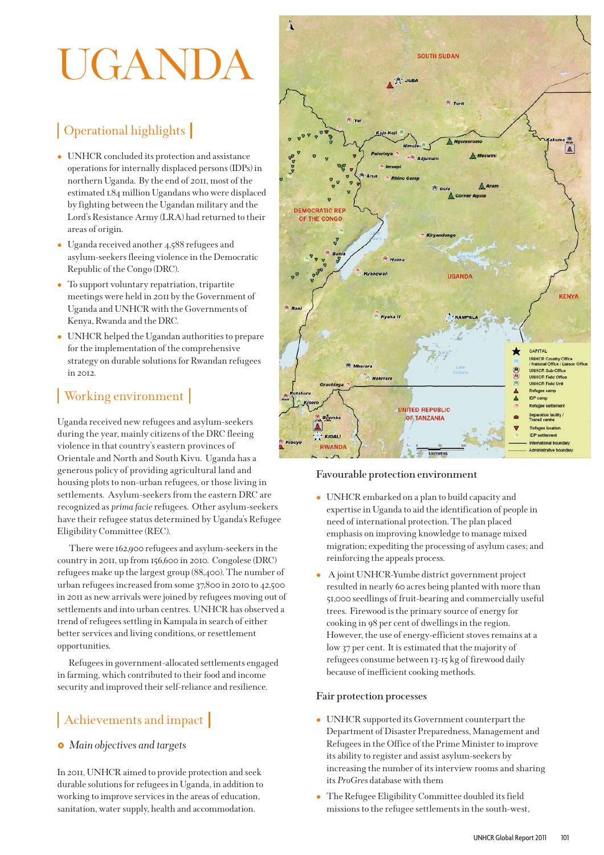# UGAND

## | Operational highlights

- UNHCR concluded its protection and assistance operations for internally displaced persons (IDPs) in northern Uganda. By the end of 2011, most of the estimated 1.84 million Ugandans who were displaced by fighting between the Ugandan military and the Lord's Resistance Army (LRA) had returned to their areas of origin.
- Uganda received another 4,588 refugees and asylum-seekers fleeing violence in the Democratic Republic of the Congo (DRC).
- To support voluntary repatriation, tripartite meetings were held in 2011 by the Government of Uganda and UNHCR with the Governments of Kenya, Rwanda and the DRC.
- UNHCR helped the Ugandan authorities to prepare for the implementation of the comprehensive strategy on durable solutions for Rwandan refugees in 2012.

## Working environment

Uganda received new refugees and asylum-seekers during the year, mainly citizens of the DRC fleeing violence in that country's eastern provinces of Orientale and North and South Kivu. Uganda has a generous policy of providing agricultural land and housing plots to non-urban refugees, or those living in settlements. Asylum-seekers from the eastern DRC are recognized as *prima facie*refugees. Other asylum-seekers have their refugee status determined by Uganda's Refugee Eligibility Committee (REC).

There were 162,900 refugees and asylum-seekers in the country in 2011, up from 156,600 in 2010. Congolese (DRC) refugees make up the largest group (88,400). The number of urban refugees increased from some 37,800 in 2010 to 42,500 in 2011 as new arrivals were joined by refugees moving out of settlements and into urban centres. UNHCR has observed a trend of refugees settling in Kampala in search of either better services and living conditions, or resettlement opportunities.

Refugees in government-allocated settlements engaged in farming, which contributed to their food and income security and improved their self-reliance and resilience.

## Achievements and impact

## *Main objectives and targets*

In 2011, UNHCR aimed to provide protection and seek durable solutions for refugees in Uganda, in addition to working to improve services in the areas of education, sanitation, water supply, health and accommodation.



## **Favourable protection environment**

- UNHCR embarked on a plan to build capacity and expertise in Uganda to aid the identification of people in need of international protection. The plan placed emphasis on improving knowledge to manage mixed migration; expediting the processing of asylum cases; and reinforcing the appeals process.
- A joint UNHCR-Yumbe district government project resulted in nearly 60 acres being planted with more than 51,000 seedlings of fruit-bearing and commercially useful trees. Firewood is the primary source of energy for cooking in 98 per cent of dwellings in the region. However, the use of energy-efficient stoves remains at a low 37 per cent. It is estimated that the majority of refugees consume between 13-15 kg of firewood daily because of inefficient cooking methods.

#### **Fair protection processes**

- UNHCR supported its Government counterpart the Department of Disaster Preparedness, Management and Refugees in the Office of the Prime Minister to improve its ability to register and assist asylum-seekers by increasing the number of its interview rooms and sharing its *ProGres* database with them
- $\bullet$  The Refugee Eligibility Committee doubled its field missions to the refugee settlements in the south-west,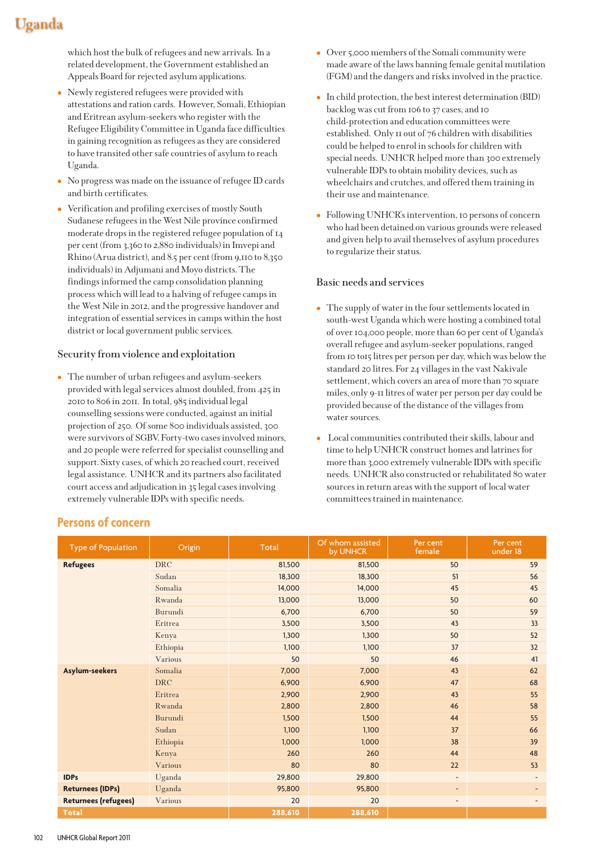## Uganda

which host the bulk of refugees and new arrivals. In a related development, the Government established an Appeals Board for rejected asylum applications.

- Newly registered refugees were provided with attestations and ration cards. However, Somali, Ethiopian and Eritrean asylum-seekers who register with the Refugee Eligibility Committee in Uganda face difficulties in gaining recognition as refugees as they are considered to have transited other safe countries of asylum to reach Uganda.
- No progress was made on the issuance of refugee ID cards and birth certificates.
- Verification and profiling exercises of mostly South Sudanese refugees in the West Nile province confirmed moderate drops in the registered refugee population of 14 per cent (from 3,360 to 2,880 individuals) in Imvepi and Rhino (Arua district), and 8.5 per cent (from 9,110 to 8,350 individuals) in Adjumani and Moyo districts. The findings informed the camp consolidation planning process which will lead to a halving of refugee camps in the West Nile in 2012, and the progressive handover and integration of essential services in camps within the host district or local government public services.

#### **Security from violence and exploitation**

- The number of urban refugees and asylum-seekers provided with legal services almost doubled, from 425 in 2010 to 806 in 2011. In total, 985 individual legal counselling sessions were conducted, against an initial projection of 250. Of some 800 individuals assisted, 300 were survivors of SGBV. Forty-two cases involved minors, and 20 people were referred for specialist counselling and support. Sixty cases, of which 20 reached court, received legal assistance. UNHCR and its partners also facilitated court access and adjudication in 35 legal cases involving extremely vulnerable IDPs with specific needs.

- Over 5,000 members of the Somali community were made aware of the laws banning female genital mutilation (FGM) and the dangers and risks involved in the practice.
- In child protection, the best interest determination (BID) backlog was cut from 106 to 37 cases, and 10 child-protection and education committees were established. Only 11 out of 76 children with disabilities could be helped to enrol in schools for children with special needs. UNHCR helped more than 300 extremely vulnerable IDPs to obtain mobility devices, such as wheelchairs and crutches, and offered them training in their use and maintenance.
- Following UNHCR's intervention, 10 persons of concern who had been detained on various grounds were released and given help to avail themselves of asylum procedures to regularize their status.

#### **Basic needs and services**

- The supply of water in the four settlements located in south-west Uganda which were hosting a combined total of over 104,000 people, more than 60 per cent of Uganda's overall refugee and asylum-seeker populations, ranged from 10 to15 litres per person per day, which was below the standard 20 litres. For 24 villages in the vast Nakivale settlement, which covers an area of more than 70 square miles, only 9-11 litres of water per person per day could be provided because of the distance of the villages from water sources.
- Local communities contributed their skills, labour and time to help UNHCR construct homes and latrines for more than 3,000 extremely vulnerable IDPs with specific needs. UNHCR also constructed or rehabilitated 80 water sources in return areas with the support of local water committees trained in maintenance.

| <b>Type of Population</b>   | Origin     | Total   | Of whom assisted<br>by UNHCR | Per cent<br>female       | Per cent<br>under 18     |
|-----------------------------|------------|---------|------------------------------|--------------------------|--------------------------|
| <b>Refugees</b>             | <b>DRC</b> | 81,500  | 81,500                       | 50                       | 59                       |
|                             | Sudan      | 18,300  | 18,300                       | 51                       | 56                       |
|                             | Somalia    | 14,000  | 14,000                       | 45                       | 45                       |
|                             | Rwanda     | 13,000  | 13,000                       | 50                       | 60                       |
|                             | Burundi    | 6,700   | 6,700                        | 50                       | 59                       |
|                             | Eritrea    | 3,500   | 3,500                        | 43                       | 33                       |
|                             | Kenya      | 1,300   | 1,300                        | 50                       | 52                       |
|                             | Ethiopia   | 1,100   | 1,100                        | 37                       | 32                       |
|                             | Various    | 50      | 50                           | 46                       | 41                       |
| Asylum-seekers              | Somalia    | 7,000   | 7,000                        | 43                       | 62                       |
|                             | <b>DRC</b> | 6,900   | 6,900                        | 47                       | 68                       |
|                             | Eritrea    | 2,900   | 2,900                        | 43                       | 55                       |
|                             | Rwanda     | 2,800   | 2,800                        | 46                       | 58                       |
|                             | Burundi    | 1,500   | 1,500                        | 44                       | 55                       |
|                             | Sudan      | 1,100   | 1,100                        | 37                       | 66                       |
|                             | Ethiopia   | 1,000   | 1,000                        | 38                       | 39                       |
|                             | Kenya      | 260     | 260                          | 44                       | 48                       |
|                             | Various    | 80      | 80                           | 22                       | 53                       |
| <b>IDPs</b>                 | Uganda     | 29,800  | 29,800                       | ٠                        |                          |
| <b>Returnees (IDPs)</b>     | Uganda     | 95,800  | 95,800                       | $\sim$                   | $\overline{\phantom{a}}$ |
| <b>Returnees (refugees)</b> | Various    | 20      | 20                           | $\overline{\phantom{a}}$ | $\overline{\phantom{a}}$ |
| <b>Total</b>                |            | 288,610 | 288,610                      |                          |                          |

## **Persons of concern**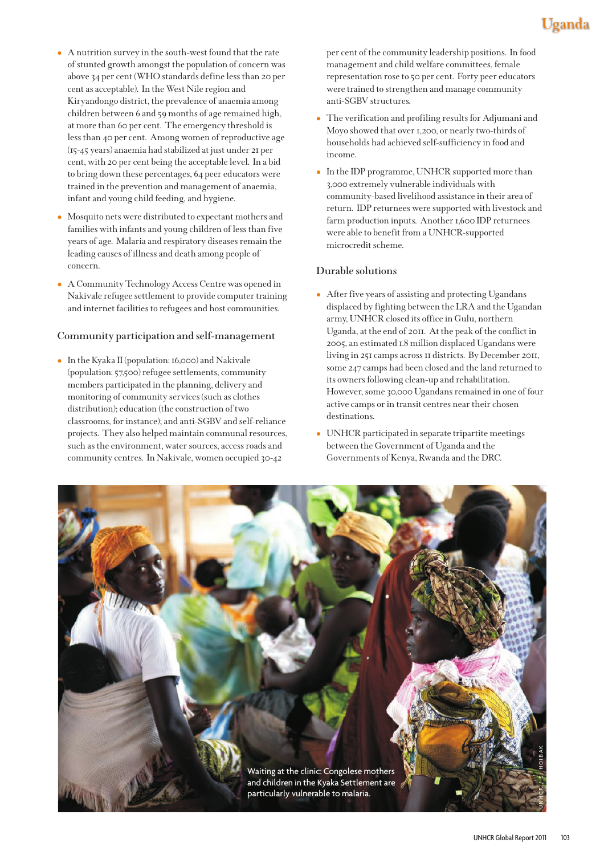- A nutrition survey in the south-west found that the rate of stunted growth amongst the population of concern was above 34 per cent (WHO standards define less than 20 per cent as acceptable). In the West Nile region and Kiryandongo district, the prevalence of anaemia among children between 6 and 59 months of age remained high, at more than 60 per cent. The emergency threshold is less than 40 per cent. Among women of reproductive age (15-45 years) anaemia had stabilized at just under 21 per cent, with 20 per cent being the acceptable level. In a bid to bring down these percentages, 64 peer educators were trained in the prevention and management of anaemia, infant and young child feeding, and hygiene.
- Mosquito nets were distributed to expectant mothers and families with infants and young children of less than five years of age. Malaria and respiratory diseases remain the leading causes of illness and death among people of concern.
- A Community Technology Access Centre was opened in Nakivale refugee settlement to provide computer training and internet facilities to refugees and host communities.

#### **Community participation and self-management**

- In the Kyaka II (population: 16,000) and Nakivale (population: 57,500) refugee settlements, community members participated in the planning, delivery and monitoring of community services (such as clothes distribution); education (the construction of two classrooms, for instance); and anti-SGBV and self-reliance projects. They also helped maintain communal resources, such as the environment, water sources, access roads and community centres. In Nakivale, women occupied 30-42

per cent of the community leadership positions. In food management and child welfare committees, female representation rose to 50 per cent. Forty peer educators were trained to strengthen and manage community anti-SGBV structures.

- The verification and profiling results for Adjumani and Moyo showed that over 1,200, or nearly two-thirds of households had achieved self-sufficiency in food and income.
- In the IDP programme, UNHCR supported more than 3,000 extremely vulnerable individuals with community-based livelihood assistance in their area of return. IDP returnees were supported with livestock and farm production inputs. Another 1,600 IDP returnees were able to benefit from a UNHCR-supported microcredit scheme.

#### **Durable solutions**

- After five years of assisting and protecting Ugandans displaced by fighting between the LRA and the Ugandan army, UNHCR closed its office in Gulu, northern Uganda, at the end of 2011. At the peak of the conflict in 2005, an estimated 1.8 million displaced Ugandans were living in 251 camps across 11 districts. By December 2011, some 247 camps had been closed and the land returned to its owners following clean-up and rehabilitation. However, some 30,000 Ugandans remained in one of four active camps or in transit centres near their chosen destinations.
- UNHCR participated in separate tripartite meetings between the Government of Uganda and the Governments of Kenya, Rwanda and the DRC.

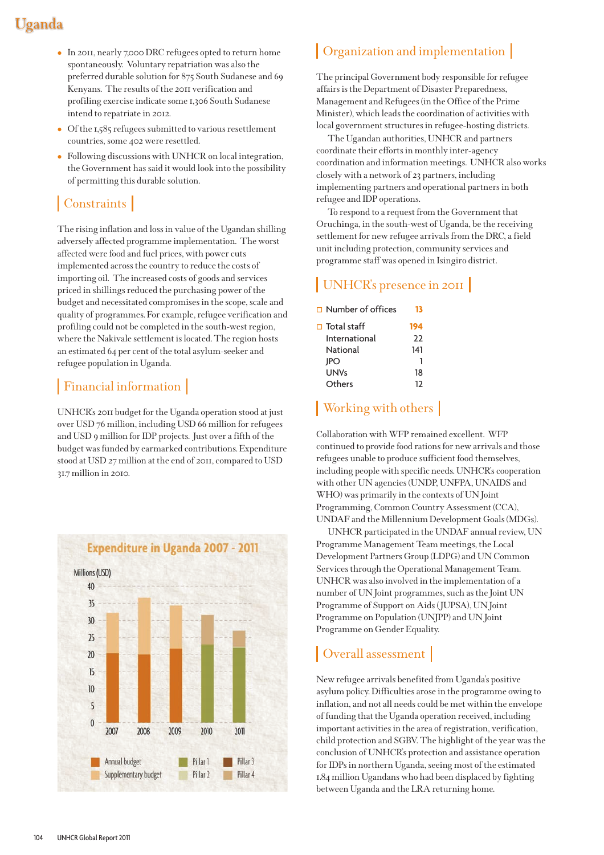# Uganda

- In 2011, nearly 7,000 DRC refugees opted to return home spontaneously. Voluntary repatriation was also the preferred durable solution for 875 South Sudanese and 69 Kenyans. The results of the 2011 verification and profiling exercise indicate some 1,306 South Sudanese intend to repatriate in 2012.
- Of the 1,585 refugees submitted to various resettlement countries, some 402 were resettled.
- Following discussions with UNHCR on local integration, the Government has said it would look into the possibility of permitting this durable solution.

## | Constraints |

The rising inflation and loss in value of the Ugandan shilling adversely affected programme implementation. The worst affected were food and fuel prices, with power cuts implemented across the country to reduce the costs of importing oil. The increased costs of goods and services priced in shillings reduced the purchasing power of the budget and necessitated compromises in the scope, scale and quality of programmes. For example, refugee verification and profiling could not be completed in the south-west region, where the Nakivale settlement is located. The region hosts an estimated 64 per cent of the total asylum-seeker and refugee population in Uganda.

## | Financial information |

UNHCR's 2011 budget for the Uganda operation stood at just over USD 76 million, including USD 66 million for refugees and USD 9 million for IDP projects. Just over a fifth of the budget was funded by earmarked contributions. Expenditure stood at USD 27 million at the end of 2011, compared to USD 31.7 million in 2010.



## Organization and implementation

The principal Government body responsible for refugee affairs is the Department of Disaster Preparedness, Management and Refugees (in the Office of the Prime Minister), which leads the coordination of activities with local government structures in refugee-hosting districts.

The Ugandan authorities, UNHCR and partners coordinate their efforts in monthly inter-agency coordination and information meetings. UNHCR also works closely with a network of 23 partners, including implementing partners and operational partners in both refugee and IDP operations.

To respond to a request from the Government that Oruchinga, in the south-west of Uganda, be the receiving settlement for new refugee arrivals from the DRC, a field unit including protection, community services and programme staff was opened in Isingiro district.

## UNHCR's presence in 2011

Number of offices **13**

| $\square$ Total staff | 194 |
|-----------------------|-----|
| International         | 22  |
| National              | 141 |
| <b>IPO</b>            |     |
| UNVs                  | 18  |
| Others                | 12  |

## Working with others

Collaboration with WFP remained excellent. WFP continued to provide food rations for new arrivals and those refugees unable to produce sufficient food themselves, including people with specific needs. UNHCR's cooperation with other UN agencies (UNDP, UNFPA, UNAIDS and WHO) was primarily in the contexts of UN Joint Programming, Common Country Assessment (CCA), UNDAF and the Millennium Development Goals (MDGs).

UNHCR participated in the UNDAF annual review, UN Programme Management Team meetings, the Local Development Partners Group (LDPG) and UN Common Services through the Operational Management Team. UNHCR was also involved in the implementation of a number of UN Joint programmes, such as the Joint UN Programme of Support on Aids ( JUPSA), UN Joint Programme on Population (UNJPP) and UN Joint Programme on Gender Equality.

## Overall assessment

New refugee arrivals benefited from Uganda's positive asylum policy. Difficulties arose in the programme owing to inflation, and not all needs could be met within the envelope of funding that the Uganda operation received, including important activities in the area of registration, verification, child protection and SGBV. The highlight of the year was the conclusion of UNHCR's protection and assistance operation for IDPs in northern Uganda, seeing most of the estimated 1.84 million Ugandans who had been displaced by fighting between Uganda and the LRA returning home.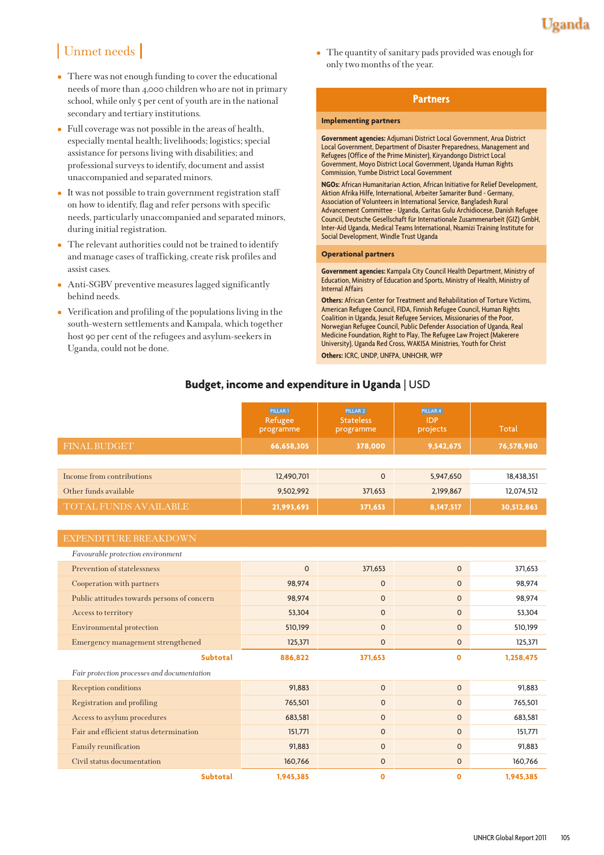## | Unmet needs |

- There was not enough funding to cover the educational needs of more than 4,000 children who are not in primary school, while only 5 per cent of youth are in the national secondary and tertiary institutions.
- Full coverage was not possible in the areas of health, especially mental health; livelihoods; logistics; special assistance for persons living with disabilities; and professional surveys to identify, document and assist unaccompanied and separated minors.
- It was not possible to train government registration staff on how to identify, flag and refer persons with specific needs, particularly unaccompanied and separated minors, during initial registration.
- The relevant authorities could not be trained to identify and manage cases of trafficking, create risk profiles and assist cases.
- Anti-SGBV preventive measures lagged significantly behind needs.
- Verification and profiling of the populations living in the south-western settlements and Kampala, which together host 90 per cent of the refugees and asylum-seekers in Uganda, could not be done.

- The quantity of sanitary pads provided was enough for only two months of the year.

#### **Partners**

#### **Implementing partners**

**Government agencies:** Adjumani District Local Government, Arua District Local Government, Department of Disaster Preparedness, Management and Refugees (Office of the Prime Minister), Kiryandongo District Local Government, Moyo District Local Government, Uganda Human Rights Commission, Yumbe District Local Government

**NGOs:** African Humanitarian Action, African Initiative for Relief Development, Aktion Afrika Hilfe, International, Arbeiter Samariter Bund - Germany, Association of Volunteers in International Service, Bangladesh Rural Advancement Committee - Uganda, Caritas Gulu Archidiocese, Danish Refugee Council, Deutsche Gesellschaft für Internationale Zusammenarbeit (GIZ) GmbH, Inter-Aid Uganda, Medical Teams International, Nsamizi Training Institute for Social Development, Windle Trust Uganda

#### **Operational partners**

**Government agencies:** Kampala City Council Health Department, Ministry of Education, Ministry of Education and Sports, Ministry of Health, Ministry of Internal Affairs

**Others:** African Center for Treatment and Rehabilitation of Torture Victims, American Refugee Council, FIDA, Finnish Refugee Council, Human Rights Coalition in Uganda, Jesuit Refugee Services, Missionaries of the Poor, Norwegian Refugee Council, Public Defender Association of Uganda, Real Medicine Foundation, Right to Play, The Refugee Law Project (Makerere University), Uganda Red Cross, WAKISA Ministries, Youth for Christ **Others:** ICRC, UNDP, UNFPA, UNHCHR, WFP

## **Budget, income and expenditure in Uganda** | USD

|                              | PILLAR 1<br>Refugee<br>programme | PILLAR 2<br><b>Stateless</b><br>programme | PILLAR 4<br><b>IDP</b><br>projects | Total      |
|------------------------------|----------------------------------|-------------------------------------------|------------------------------------|------------|
| <b>FINAL BUDGET</b>          | 66,658,305                       | 378,000                                   | 9,542,675                          | 76,578,980 |
|                              |                                  |                                           |                                    |            |
| Income from contributions    | 12,490,701                       | $\mathbf 0$                               | 5,947,650                          | 18,438,351 |
| Other funds available        | 9,502,992                        | 371,653                                   | 2,199,867                          | 12,074,512 |
| <b>TOTAL FUNDS AVAILABLE</b> | 21,993,693                       | 371,653                                   | 8,147,517                          | 30,512,863 |

#### EXPENDITURE BREAKDOWN

| Favourable protection environment           |             |              |                |           |
|---------------------------------------------|-------------|--------------|----------------|-----------|
| Prevention of statelessness                 | $\mathbf 0$ | 371,653      | $\mathbf 0$    | 371,653   |
| Cooperation with partners                   | 98,974      | $\mathbf{O}$ | $\mathbf 0$    | 98,974    |
| Public attitudes towards persons of concern | 98,974      | $\mathbf{O}$ | $\mathbf{O}$   | 98,974    |
| Access to territory                         | 53,304      | $\mathbf{O}$ | $\mathbf 0$    | 53,304    |
| Environmental protection                    | 510,199     | $\mathbf 0$  | $\mathbf 0$    | 510,199   |
| Emergency management strengthened           | 125,371     | 0            | 0              | 125,371   |
| <b>Subtotal</b>                             | 886,822     | 371,653      | $\mathbf o$    | 1,258,475 |
| Fair protection processes and documentation |             |              |                |           |
| Reception conditions                        | 91,883      | $\mathbf 0$  | $\mathbf 0$    | 91,883    |
| Registration and profiling                  | 765,501     | $\mathbf{O}$ | $\mathbf 0$    | 765,501   |
| Access to asylum procedures                 | 683,581     | $\mathbf{O}$ | $\mathbf 0$    | 683,581   |
| Fair and efficient status determination     | 151,771     | $\mathbf 0$  | $\mathbf 0$    | 151,771   |
| Family reunification                        | 91,883      | $\mathbf{O}$ | $\overline{0}$ | 91,883    |
| Civil status documentation                  | 160,766     | $\mathbf 0$  | $\mathbf 0$    | 160,766   |
| <b>Subtotal</b>                             | 1,945,385   | O            | O              | 1,945,385 |